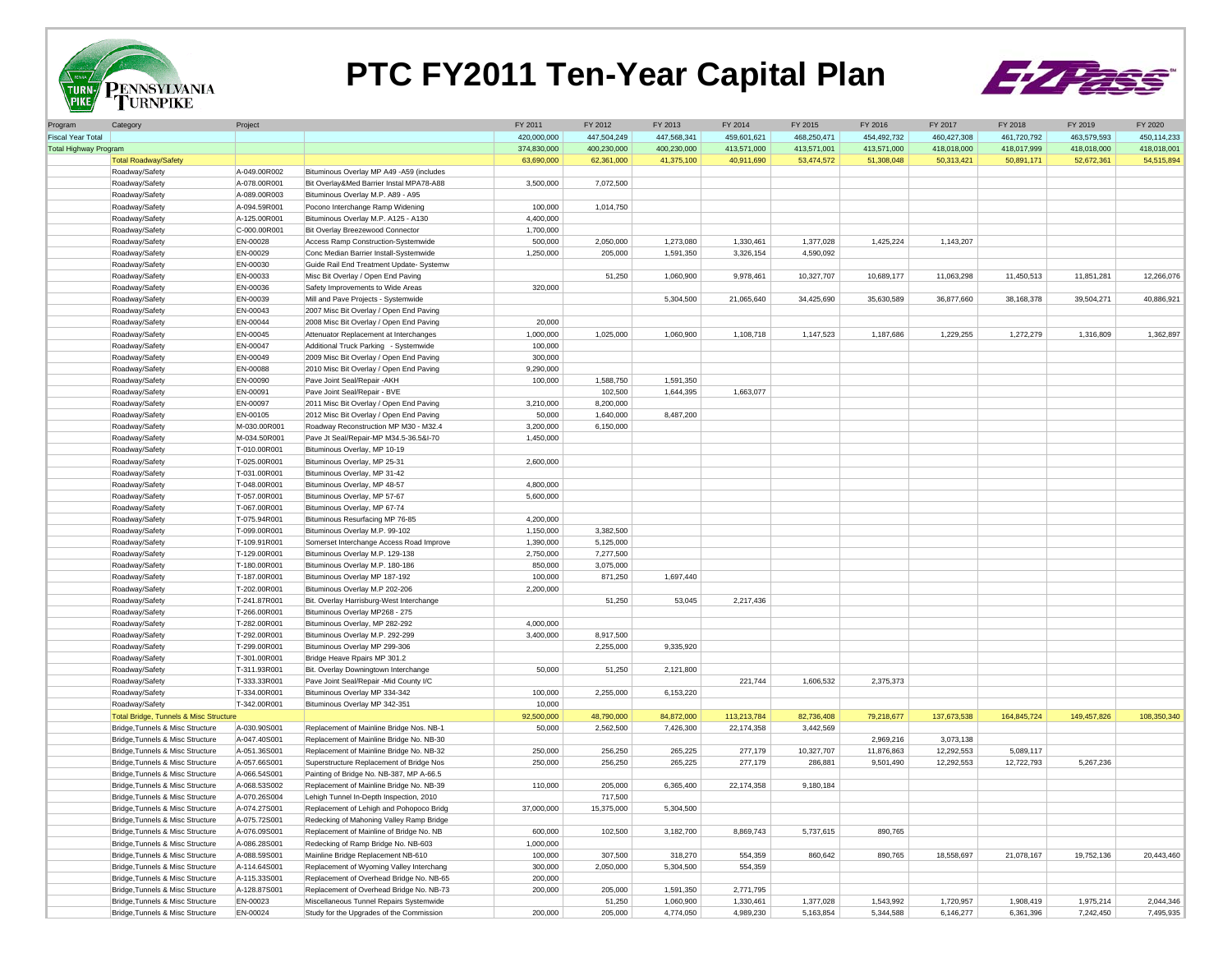

## **PTC FY2011 Ten-Year Capital Plan**



| Program                      | Category                                          | Project      |                                          | FY 2011     | FY 2012     | FY 2013     | FY 2014     | FY 2015     | FY 2016     | FY 2017     | FY 2018     | FY 2019     | FY 2020     |
|------------------------------|---------------------------------------------------|--------------|------------------------------------------|-------------|-------------|-------------|-------------|-------------|-------------|-------------|-------------|-------------|-------------|
| <b>Fiscal Year Total</b>     |                                                   |              |                                          | 420,000,000 | 447,504,249 | 447,568,341 | 459,601,621 | 468,250,471 | 454,492,732 | 460,427,308 | 461,720,792 | 463,579,593 | 450,114,233 |
| <b>Total Highway Program</b> |                                                   |              |                                          | 374,830,000 | 400,230,000 | 400,230,000 | 413,571,000 | 413,571,001 | 413,571,000 | 418,018,000 | 418,017,999 | 418,018,000 | 418,018,001 |
|                              | <b>Total Roadway/Safety</b>                       |              |                                          | 63,690,000  | 62,361,000  | 41,375,100  | 40,911,690  | 53,474,572  | 51,308,048  | 50,313,421  | 50,891,171  | 52,672,361  | 54,515,894  |
|                              | Roadway/Safety                                    | A-049.00R002 | Bituminous Overlay MP A49 -A59 (includes |             |             |             |             |             |             |             |             |             |             |
|                              | Roadway/Safety                                    | A-078.00R001 | Bit Overlay&Med Barrier Instal MPA78-A88 | 3,500,000   | 7,072,500   |             |             |             |             |             |             |             |             |
|                              | Roadway/Safety                                    | A-089.00R003 | Bituminous Overlay M.P. A89 - A95        |             |             |             |             |             |             |             |             |             |             |
|                              | Roadway/Safety                                    | A-094.59R001 | Pocono Interchange Ramp Widening         | 100,000     | 1,014,750   |             |             |             |             |             |             |             |             |
|                              | Roadway/Safety                                    | A-125.00R001 | Bituminous Overlay M.P. A125 - A130      | 4,400,000   |             |             |             |             |             |             |             |             |             |
|                              |                                                   |              |                                          |             |             |             |             |             |             |             |             |             |             |
|                              | Roadway/Safety                                    | C-000.00R001 | Bit Overlay Breezewood Connector         | 1,700,000   |             |             |             |             |             |             |             |             |             |
|                              | Roadway/Safety                                    | EN-00028     | Access Ramp Construction-Systemwide      | 500,000     | 2,050,000   | 1,273,080   | 1,330,461   | 1,377,028   | 1,425,224   | 1,143,207   |             |             |             |
|                              | Roadway/Safety                                    | EN-00029     | Conc Median Barrier Install-Systemwide   | 1,250,000   | 205,000     | 1,591,350   | 3,326,154   | 4,590,092   |             |             |             |             |             |
|                              | Roadway/Safety                                    | EN-00030     | Guide Rail End Treatment Update- Systemw |             |             |             |             |             |             |             |             |             |             |
|                              | Roadway/Safety                                    | EN-00033     | Misc Bit Overlay / Open End Paving       |             | 51,250      | 1,060,900   | 9,978,461   | 10,327,707  | 10,689,177  | 11,063,298  | 11,450,513  | 11,851,281  | 12,266,076  |
|                              | Roadway/Safety                                    | EN-00036     | Safety Improvements to Wide Areas        | 320,000     |             |             |             |             |             |             |             |             |             |
|                              | Roadway/Safety                                    | EN-00039     | Mill and Pave Projects - Systemwide      |             |             | 5,304,500   | 21,065,640  | 34,425,690  | 35,630,589  | 36,877,660  | 38,168,378  | 39,504,271  | 40,886,921  |
|                              | Roadway/Safety                                    | EN-00043     | 2007 Misc Bit Overlay / Open End Paving  |             |             |             |             |             |             |             |             |             |             |
|                              | Roadway/Safety                                    | EN-00044     | 2008 Misc Bit Overlay / Open End Paving  | 20,000      |             |             |             |             |             |             |             |             |             |
|                              | Roadway/Safety                                    | EN-00045     | Attenuator Replacement at Interchanges   | 1,000,000   | 1,025,000   | 1,060,900   | 1,108,718   | 1,147,523   | 1,187,686   | 1,229,255   | 1,272,279   | 1,316,809   | 1,362,897   |
|                              | Roadway/Safety                                    | EN-00047     | Additional Truck Parking - Systemwide    | 100,000     |             |             |             |             |             |             |             |             |             |
|                              | Roadway/Safety                                    | EN-00049     | 2009 Misc Bit Overlay / Open End Paving  | 300,000     |             |             |             |             |             |             |             |             |             |
|                              | Roadway/Safety                                    | EN-00088     | 2010 Misc Bit Overlay / Open End Paving  | 9,290,000   |             |             |             |             |             |             |             |             |             |
|                              | Roadway/Safety                                    | EN-00090     | Pave Joint Seal/Repair - AKH             | 100,000     | 1,588,750   | 1,591,350   |             |             |             |             |             |             |             |
|                              | Roadway/Safety                                    | EN-00091     | Pave Joint Seal/Repair - BVE             |             | 102,500     | 1,644,395   | 1,663,077   |             |             |             |             |             |             |
|                              | Roadway/Safety                                    | EN-00097     | 2011 Misc Bit Overlay / Open End Paving  | 3,210,000   | 8,200,000   |             |             |             |             |             |             |             |             |
|                              | Roadway/Safety                                    | EN-00105     | 2012 Misc Bit Overlay / Open End Paving  | 50,000      | 1,640,000   | 8,487,200   |             |             |             |             |             |             |             |
|                              |                                                   | M-030.00R001 | Roadway Reconstruction MP M30 - M32.4    | 3,200,000   | 6,150,000   |             |             |             |             |             |             |             |             |
|                              | Roadway/Safety                                    |              |                                          |             |             |             |             |             |             |             |             |             |             |
|                              | Roadway/Safety                                    | M-034.50R001 | Pave Jt Seal/Repair-MP M34.5-36.5&I-70   | 1,450,000   |             |             |             |             |             |             |             |             |             |
|                              | Roadway/Safety                                    | T-010.00R001 | Bituminous Overlay, MP 10-19             |             |             |             |             |             |             |             |             |             |             |
|                              | Roadway/Safety                                    | T-025.00R001 | Bituminous Overlay, MP 25-31             | 2,600,000   |             |             |             |             |             |             |             |             |             |
|                              | Roadway/Safety                                    | T-031.00R001 | Bituminous Overlay, MP 31-42             |             |             |             |             |             |             |             |             |             |             |
|                              | Roadway/Safety                                    | T-048.00R001 | Bituminous Overlay, MP 48-57             | 4,800,000   |             |             |             |             |             |             |             |             |             |
|                              | Roadway/Safety                                    | T-057.00R001 | Bituminous Overlay, MP 57-67             | 5,600,000   |             |             |             |             |             |             |             |             |             |
|                              | Roadway/Safety                                    | T-067.00R001 | Bituminous Overlay, MP 67-74             |             |             |             |             |             |             |             |             |             |             |
|                              | Roadway/Safety                                    | T-075.94R001 | Bituminous Resurfacing MP 76-85          | 4,200,000   |             |             |             |             |             |             |             |             |             |
|                              | Roadway/Safety                                    | T-099.00R001 | Bituminous Overlay M.P. 99-102           | 1,150,000   | 3,382,500   |             |             |             |             |             |             |             |             |
|                              | Roadway/Safety                                    | T-109.91R001 | Somerset Interchange Access Road Improve | 1,390,000   | 5,125,000   |             |             |             |             |             |             |             |             |
|                              | Roadway/Safety                                    | T-129.00R001 | Bituminous Overlay M.P. 129-138          | 2,750,000   | 7,277,500   |             |             |             |             |             |             |             |             |
|                              | Roadway/Safety                                    | T-180.00R001 | Bituminous Overlay M.P. 180-186          | 850,000     | 3,075,000   |             |             |             |             |             |             |             |             |
|                              | Roadway/Safety                                    | T-187.00R001 | Bituminous Overlay MP 187-192            | 100,000     | 871,250     | 1,697,440   |             |             |             |             |             |             |             |
|                              | Roadway/Safety                                    | T-202.00R001 | Bituminous Overlay M.P 202-206           | 2,200,000   |             |             |             |             |             |             |             |             |             |
|                              |                                                   | T-241.87R001 | Bit. Overlay Harrisburg-West Interchange |             | 51,250      | 53,045      | 2,217,436   |             |             |             |             |             |             |
|                              | Roadway/Safety                                    |              |                                          |             |             |             |             |             |             |             |             |             |             |
|                              | Roadway/Safety                                    | T-266.00R001 | Bituminous Overlay MP268 - 275           |             |             |             |             |             |             |             |             |             |             |
|                              | Roadway/Safety                                    | T-282.00R001 | Bituminous Overlay, MP 282-292           | 4,000,000   |             |             |             |             |             |             |             |             |             |
|                              | Roadway/Safety                                    | T-292.00R001 | Bituminous Overlay M.P. 292-299          | 3,400,000   | 8,917,500   |             |             |             |             |             |             |             |             |
|                              | Roadway/Safety                                    | T-299.00R001 | Bituminous Overlay MP 299-306            |             | 2,255,000   | 9,335,920   |             |             |             |             |             |             |             |
|                              | Roadway/Safety                                    | T-301.00R001 | Bridge Heave Rpairs MP 301.2             |             |             |             |             |             |             |             |             |             |             |
|                              | Roadway/Safety                                    | T-311.93R001 | Bit. Overlay Downingtown Interchange     | 50,000      | 51,250      | 2,121,800   |             |             |             |             |             |             |             |
|                              | Roadway/Safety                                    | T-333.33R001 | Pave Joint Seal/Repair -Mid County I/C   |             |             |             | 221,744     | 1,606,532   | 2,375,373   |             |             |             |             |
|                              | Roadway/Safety                                    | T-334.00R001 | Bituminous Overlay MP 334-342            | 100,000     | 2,255,000   | 6,153,220   |             |             |             |             |             |             |             |
|                              | Roadway/Safety                                    | T-342.00R001 | Bituminous Overlay MP 342-351            | 10,000      |             |             |             |             |             |             |             |             |             |
|                              | <b>Total Bridge, Tunnels &amp; Misc Structure</b> |              |                                          | 92,500,000  | 48,790,000  | 84,872,000  | 113,213,784 | 82,736,408  | 79,218,677  | 137,673,538 | 164,845,724 | 149,457,826 | 108,350,340 |
|                              | Bridge, Tunnels & Misc Structure                  | A-030.90S001 | Replacement of Mainline Bridge Nos. NB-1 | 50,000      | 2,562,500   | 7,426,300   | 22,174,358  | 3,442,569   |             |             |             |             |             |
|                              | Bridge, Tunnels & Misc Structure                  | A-047.40S001 | Replacement of Mainline Bridge No. NB-30 |             |             |             |             |             | 2,969,216   | 3,073,138   |             |             |             |
|                              | Bridge, Tunnels & Misc Structure                  | A-051.36S001 | Replacement of Mainline Bridge No. NB-32 | 250,000     | 256,250     | 265.225     | 277,179     | 10,327,707  | 11,876,863  | 12.292.553  | 5.089.117   |             |             |
|                              | Bridge, Tunnels & Misc Structure                  | A-057.66S001 | Superstructure Replacement of Bridge Nos | 250,000     | 256,250     | 265,225     | 277,179     | 286,881     | 9,501,490   | 12,292,553  | 12,722,793  | 5,267,236   |             |
|                              | Bridge, Tunnels & Misc Structure                  | A-066.54S001 | Painting of Bridge No. NB-387, MP A-66.5 |             |             |             |             |             |             |             |             |             |             |
|                              | Bridge, Tunnels & Misc Structure                  | A-068.53S002 | Replacement of Mainline Bridge No. NB-39 | 110,000     | 205,000     | 6,365,400   | 22,174,358  | 9,180,184   |             |             |             |             |             |
|                              |                                                   |              |                                          |             |             |             |             |             |             |             |             |             |             |
|                              | Bridge, Tunnels & Misc Structure                  | A-070.26S004 | Lehigh Tunnel In-Depth Inspection, 2010  |             | 717,500     |             |             |             |             |             |             |             |             |
|                              | Bridge, Tunnels & Misc Structure                  | A-074.27S001 | Replacement of Lehigh and Pohopoco Bridg | 37,000,000  | 15,375,000  | 5,304,500   |             |             |             |             |             |             |             |
|                              | Bridge, Tunnels & Misc Structure                  | A-075.72S001 | Redecking of Mahoning Valley Ramp Bridge |             |             |             |             |             |             |             |             |             |             |
|                              | Bridge, Tunnels & Misc Structure                  | A-076.09S001 | Replacement of Mainline of Bridge No. NB | 600,000     | 102,500     | 3,182,700   | 8,869,743   | 5,737,615   | 890,765     |             |             |             |             |
|                              | Bridge, Tunnels & Misc Structure                  | A-086.28S001 | Redecking of Ramp Bridge No. NB-603      | 1,000,000   |             |             |             |             |             |             |             |             |             |
|                              | Bridge, Tunnels & Misc Structure                  | A-088.59S001 | Mainline Bridge Replacement NB-610       | 100,000     | 307,500     | 318,270     | 554,359     | 860,642     | 890,765     | 18,558,697  | 21,078,167  | 19,752,136  | 20,443,460  |
|                              | Bridge, Tunnels & Misc Structure                  | A-114.64S001 | Replacement of Wyoming Valley Interchang | 300,000     | 2,050,000   | 5,304,500   | 554,359     |             |             |             |             |             |             |
|                              | Bridge, Tunnels & Misc Structure                  | A-115.33S001 | Replacement of Overhead Bridge No. NB-65 | 200,000     |             |             |             |             |             |             |             |             |             |
|                              | Bridge, Tunnels & Misc Structure                  | A-128.87S001 | Replacement of Overhead Bridge No. NB-73 | 200,000     | 205,000     | 1,591,350   | 2,771,795   |             |             |             |             |             |             |
|                              | Bridge, Tunnels & Misc Structure                  | EN-00023     | Miscellaneous Tunnel Repairs Systemwide  |             | 51,250      | 1,060,900   | 1,330,461   | 1,377,028   | 1,543,992   | 1,720,957   | 1,908,419   | 1,975,214   | 2,044,346   |
|                              | Bridge, Tunnels & Misc Structure                  | EN-00024     | Study for the Upgrades of the Commission | 200.000     | 205,000     | 4,774,050   | 4,989,230   | 5,163,854   | 5.344.588   | 6,146,277   | 6,361,396   | 7,242,450   | 7,495,935   |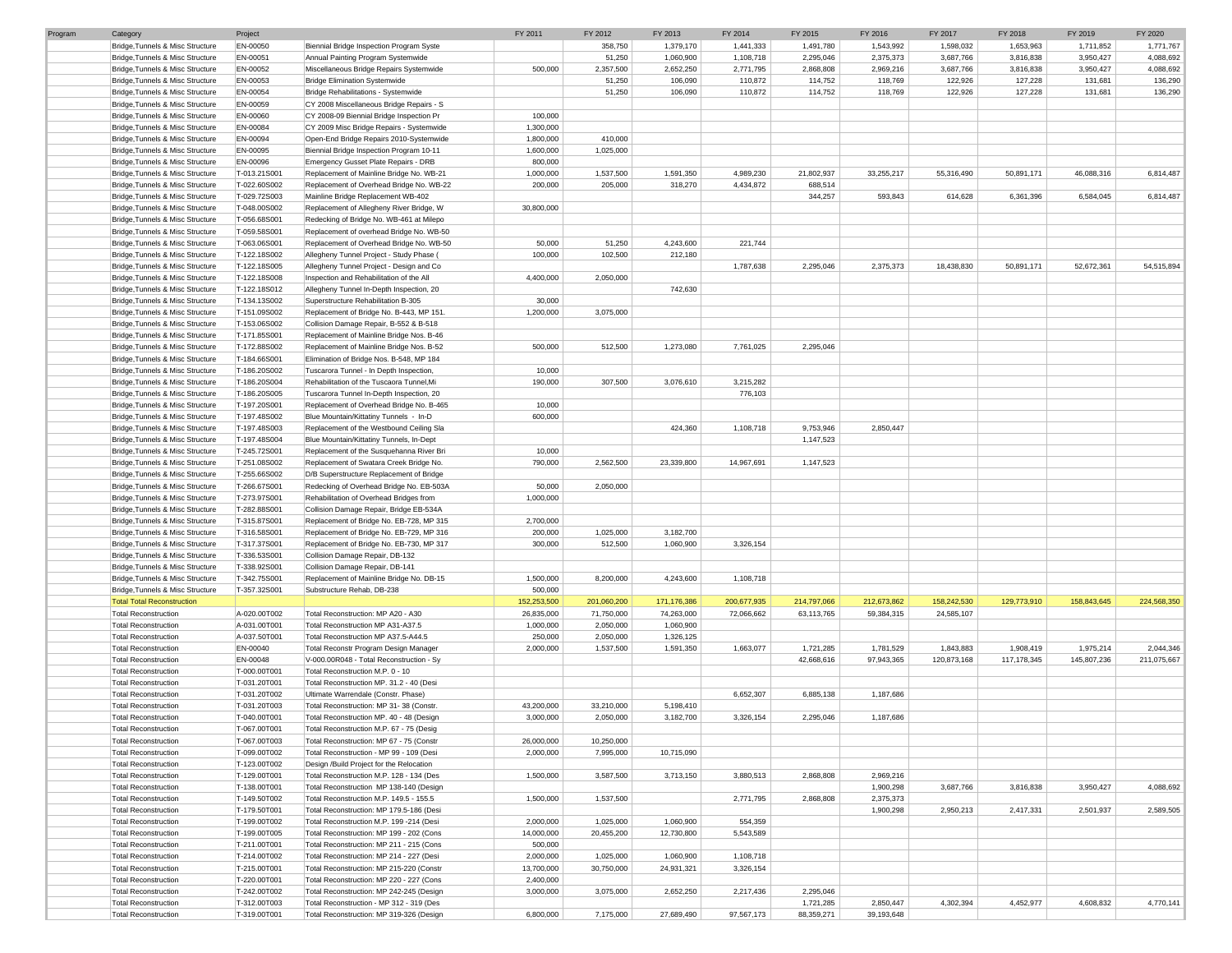| Program | Category                          | Project      |                                           | FY 2011     | FY 2012     | FY 2013     | FY 2014     | FY 2015     | FY 2016     | FY 2017     | FY 2018       | FY 2019     | FY 2020     |
|---------|-----------------------------------|--------------|-------------------------------------------|-------------|-------------|-------------|-------------|-------------|-------------|-------------|---------------|-------------|-------------|
|         | Bridge, Tunnels & Misc Structure  | EN-00050     | Biennial Bridge Inspection Program Syste  |             | 358,750     | 1,379,170   | 1,441,333   | 1,491,780   | 1,543,992   | 1,598,032   | 1,653,963     | 1,711,852   | 1,771,767   |
|         | Bridge, Tunnels & Misc Structure  | EN-00051     | Annual Painting Program Systemwide        |             | 51,250      | 1,060,900   | 1,108,718   | 2,295,046   | 2,375,373   | 3,687,766   | 3,816,838     | 3,950,427   | 4,088,692   |
|         | Bridge, Tunnels & Misc Structure  | EN-00052     | Miscellaneous Bridge Repairs Systemwide   | 500,000     | 2,357,500   | 2,652,250   | 2,771,795   | 2,868,808   | 2,969,216   | 3,687,766   | 3,816,838     | 3,950,427   | 4,088,692   |
|         | Bridge, Tunnels & Misc Structure  | EN-00053     | <b>Bridge Elimination Systemwide</b>      |             | 51,250      | 106,090     | 110,872     | 114,752     | 118,769     | 122,926     | 127,228       | 131,681     | 136,290     |
|         |                                   |              |                                           |             |             |             |             |             |             |             |               |             |             |
|         | Bridge, Tunnels & Misc Structure  | EN-00054     | Bridge Rehabilitations - Systemwide       |             | 51,250      | 106,090     | 110,872     | 114,752     | 118,769     | 122,926     | 127,228       | 131,681     | 136,290     |
|         | Bridge, Tunnels & Misc Structure  | EN-00059     | CY 2008 Miscellaneous Bridge Repairs - S  |             |             |             |             |             |             |             |               |             |             |
|         | Bridge, Tunnels & Misc Structure  | EN-00060     | CY 2008-09 Biennial Bridge Inspection Pr  | 100,000     |             |             |             |             |             |             |               |             |             |
|         | Bridge, Tunnels & Misc Structure  | EN-00084     | CY 2009 Misc Bridge Repairs - Systemwide  | 1,300,000   |             |             |             |             |             |             |               |             |             |
|         | Bridge, Tunnels & Misc Structure  | EN-00094     | Open-End Bridge Repairs 2010-Systemwide   | 1,800,000   | 410,000     |             |             |             |             |             |               |             |             |
|         | Bridge, Tunnels & Misc Structure  | EN-00095     | Biennial Bridge Inspection Program 10-11  | 1,600,000   | 1,025,000   |             |             |             |             |             |               |             |             |
|         | Bridge, Tunnels & Misc Structure  | EN-00096     | Emergency Gusset Plate Repairs - DRB      | 800,000     |             |             |             |             |             |             |               |             |             |
|         | Bridge, Tunnels & Misc Structure  | T-013.21S001 | Replacement of Mainline Bridge No. WB-21  | 1,000,000   | 1,537,500   | 1,591,350   | 4,989,230   | 21,802,937  | 33,255,217  | 55,316,490  | 50,891,171    | 46,088,316  | 6,814,487   |
|         | Bridge, Tunnels & Misc Structure  | T-022.60S002 | Replacement of Overhead Bridge No. WB-22  | 200,000     | 205,000     | 318,270     | 4,434,872   | 688,514     |             |             |               |             |             |
|         |                                   |              |                                           |             |             |             |             |             |             |             |               |             |             |
|         | Bridge, Tunnels & Misc Structure  | T-029.72S003 | Mainline Bridge Replacement WB-402        |             |             |             |             | 344,257     | 593,843     | 614,628     | 6,361,396     | 6,584,045   | 6,814,487   |
|         | Bridge, Tunnels & Misc Structure  | T-048.00S002 | Replacement of Allegheny River Bridge, W  | 30,800,000  |             |             |             |             |             |             |               |             |             |
|         | Bridge, Tunnels & Misc Structure  | T-056,68S001 | Redecking of Bridge No. WB-461 at Milepo  |             |             |             |             |             |             |             |               |             |             |
|         | Bridge, Tunnels & Misc Structure  | T-059.58S001 | Replacement of overhead Bridge No. WB-50  |             |             |             |             |             |             |             |               |             |             |
|         | Bridge, Tunnels & Misc Structure  | T-063.06S001 | Replacement of Overhead Bridge No. WB-50  | 50,000      | 51,250      | 4,243,600   | 221,744     |             |             |             |               |             |             |
|         | Bridge, Tunnels & Misc Structure  | T-122.18S002 | Allegheny Tunnel Project - Study Phase    | 100,000     | 102,500     | 212,180     |             |             |             |             |               |             |             |
|         | Bridge, Tunnels & Misc Structure  | T-122.18S005 | Allegheny Tunnel Project - Design and Co  |             |             |             | 1,787,638   | 2,295,046   | 2,375,373   | 18,438,830  | 50,891,171    | 52,672,361  | 54,515,894  |
|         | Bridge, Tunnels & Misc Structure  | T-122.18S008 | Inspection and Rehabilitation of the All  | 4,400,000   | 2,050,000   |             |             |             |             |             |               |             |             |
|         | Bridge, Tunnels & Misc Structure  | T-122.18S012 | Allegheny Tunnel In-Depth Inspection, 20  |             |             | 742,630     |             |             |             |             |               |             |             |
|         |                                   |              |                                           |             |             |             |             |             |             |             |               |             |             |
|         | Bridge, Tunnels & Misc Structure  | T-134.13S002 | Superstructure Rehabilitation B-305       | 30,000      |             |             |             |             |             |             |               |             |             |
|         | Bridge, Tunnels & Misc Structure  | T-151.09S002 | Replacement of Bridge No. B-443, MP 151   | 1,200,000   | 3,075,000   |             |             |             |             |             |               |             |             |
|         | Bridge, Tunnels & Misc Structure  | T-153.06S002 | Collision Damage Repair, B-552 & B-518    |             |             |             |             |             |             |             |               |             |             |
|         | Bridge, Tunnels & Misc Structure  | T-171.85S001 | Replacement of Mainline Bridge Nos. B-46  |             |             |             |             |             |             |             |               |             |             |
|         | Bridge, Tunnels & Misc Structure  | T-172.88S002 | Replacement of Mainline Bridge Nos. B-52  | 500,000     | 512,500     | 1,273,080   | 7,761,025   | 2,295,046   |             |             |               |             |             |
|         | Bridge, Tunnels & Misc Structure  | T-184.66S001 | Elimination of Bridge Nos. B-548, MP 184  |             |             |             |             |             |             |             |               |             |             |
|         | Bridge, Tunnels & Misc Structure  | T-186.20S002 | Tuscarora Tunnel - In Depth Inspection,   | 10,000      |             |             |             |             |             |             |               |             |             |
|         | Bridge, Tunnels & Misc Structure  | T-186.20S004 | Rehabilitation of the Tuscaora Tunnel, Mi | 190,000     | 307,500     | 3,076,610   | 3,215,282   |             |             |             |               |             |             |
|         | Bridge, Tunnels & Misc Structure  | T-186.20S005 | Tuscarora Tunnel In-Depth Inspection, 20  |             |             |             | 776,103     |             |             |             |               |             |             |
|         | Bridge, Tunnels & Misc Structure  |              | Replacement of Overhead Bridge No. B-465  |             |             |             |             |             |             |             |               |             |             |
|         |                                   | T-197.20S001 |                                           | 10,000      |             |             |             |             |             |             |               |             |             |
|         | Bridge, Tunnels & Misc Structure  | T-197.48S002 | Blue Mountain/Kittatiny Tunnels - In-D    | 600,000     |             |             |             |             |             |             |               |             |             |
|         | Bridge, Tunnels & Misc Structure  | T-197.48S003 | Replacement of the Westbound Ceiling Sla  |             |             | 424,360     | 1,108,718   | 9,753,946   | 2,850,447   |             |               |             |             |
|         | Bridge, Tunnels & Misc Structure  | T-197.48S004 | Blue Mountain/Kittatiny Tunnels, In-Dept  |             |             |             |             | 1,147,523   |             |             |               |             |             |
|         | Bridge, Tunnels & Misc Structure  | T-245.72S001 | Replacement of the Susquehanna River Bri  | 10,000      |             |             |             |             |             |             |               |             |             |
|         | Bridge, Tunnels & Misc Structure  | T-251.08S002 | Replacement of Swatara Creek Bridge No.   | 790,000     | 2,562,500   | 23,339,800  | 14,967,691  | 1,147,523   |             |             |               |             |             |
|         | Bridge, Tunnels & Misc Structure  | T-255.66S002 | D/B Superstructure Replacement of Bridge  |             |             |             |             |             |             |             |               |             |             |
|         | Bridge, Tunnels & Misc Structure  | T-266.67S001 | Redecking of Overhead Bridge No. EB-503A  | 50,000      | 2,050,000   |             |             |             |             |             |               |             |             |
|         | Bridge, Tunnels & Misc Structure  | T-273.97S001 | Rehabilitation of Overhead Bridges from   | 1,000,000   |             |             |             |             |             |             |               |             |             |
|         |                                   |              |                                           |             |             |             |             |             |             |             |               |             |             |
|         | Bridge, Tunnels & Misc Structure  | T-282.88S001 | Collision Damage Repair, Bridge EB-534A   |             |             |             |             |             |             |             |               |             |             |
|         | Bridge, Tunnels & Misc Structure  | T-315.87S001 | Replacement of Bridge No. EB-728, MP 315  | 2,700,000   |             |             |             |             |             |             |               |             |             |
|         | Bridge, Tunnels & Misc Structure  | T-316.58S001 | Replacement of Bridge No. EB-729, MP 316  | 200,000     | 1,025,000   | 3,182,700   |             |             |             |             |               |             |             |
|         | Bridge, Tunnels & Misc Structure  | T-317.37S001 | Replacement of Bridge No. EB-730, MP 317  | 300,000     | 512,500     | 1,060,900   | 3,326,154   |             |             |             |               |             |             |
|         | Bridge, Tunnels & Misc Structure  | T-336.53S001 | Collision Damage Repair, DB-132           |             |             |             |             |             |             |             |               |             |             |
|         | Bridge, Tunnels & Misc Structure  | T-338.92S001 | Collision Damage Repair, DB-141           |             |             |             |             |             |             |             |               |             |             |
|         | Bridge, Tunnels & Misc Structure  | T-342.75S001 | Replacement of Mainline Bridge No. DB-15  | 1,500,000   | 8,200,000   | 4,243,600   | 1,108,718   |             |             |             |               |             |             |
|         | Bridge, Tunnels & Misc Structure  | T-357.32S001 | Substructure Rehab, DB-238                | 500,000     |             |             |             |             |             |             |               |             |             |
|         | <b>Total Total Reconstruction</b> |              |                                           | 152,253,500 | 201,060,200 | 171,176,386 | 200,677,935 | 214,797,066 | 212,673,862 | 158,242,530 | 129,773,910   | 158,843,645 | 224,568,350 |
|         |                                   |              |                                           |             |             |             |             |             |             |             |               |             |             |
|         | <b>Total Reconstruction</b>       | A-020.00T002 | Total Reconstruction: MP A20 - A30        | 26,835,000  | 71,750,000  | 74,263,000  | 72,066,662  | 63,113,765  | 59,384,315  | 24,585,107  |               |             |             |
|         | <b>Total Reconstruction</b>       | A-031.00T001 | Total Reconstruction MP A31-A37.5         | 1,000,000   | 2,050,000   | 1,060,900   |             |             |             |             |               |             |             |
|         | <b>Total Reconstruction</b>       | A-037.50T001 | Total Reconstruction MP A37.5-A44.5       | 250,000     | 2,050,000   | 1,326,125   |             |             |             |             |               |             |             |
|         | <b>Total Reconstruction</b>       | EN-00040     | Total Reconstr Program Design Manager     | 2,000,000   | 1,537,500   | 1,591,350   | 1,663,077   | 1,721,285   | 1,781,529   | 1,843,883   | 1,908,419     | 1,975,214   | 2,044,346   |
|         | <b>Total Reconstruction</b>       | EN-00048     | V-000.00R048 - Total Reconstruction - Sy  |             |             |             |             | 42,668,616  | 97,943,365  | 120,873,168 | 117, 178, 345 | 145,807,236 | 211,075,667 |
|         | <b>Total Reconstruction</b>       | T-000.00T001 | Total Reconstruction M.P. 0 - 10          |             |             |             |             |             |             |             |               |             |             |
|         | <b>Total Reconstruction</b>       | T-031.20T001 | Total Reconstruction MP. 31.2 - 40 (Desi  |             |             |             |             |             |             |             |               |             |             |
|         | Total Reconstruction              | T-031.20T002 | Ultimate Warrendale (Constr. Phase)       |             |             |             | 6,652,307   | 6,885,138   | 1,187,686   |             |               |             |             |
|         | <b>Total Reconstruction</b>       | T-031.20T003 | Total Reconstruction: MP 31-38 (Constr.   | 43,200,000  | 33,210,000  | 5,198,410   |             |             |             |             |               |             |             |
|         |                                   | T-040.00T001 |                                           | 3,000,000   | 2,050,000   | 3,182,700   |             |             | 1,187,686   |             |               |             |             |
|         | <b>Total Reconstruction</b>       |              | Total Reconstruction MP. 40 - 48 (Design  |             |             |             | 3,326,154   | 2,295,046   |             |             |               |             |             |
|         | Total Reconstruction              | T-067.00T001 | Total Reconstruction M.P. 67 - 75 (Desig  |             |             |             |             |             |             |             |               |             |             |
|         | <b>Total Reconstruction</b>       | T-067.00T003 | Total Reconstruction: MP 67 - 75 (Constr  | 26,000,000  | 10,250,000  |             |             |             |             |             |               |             |             |
|         | <b>Total Reconstruction</b>       | T-099.00T002 | Total Reconstruction - MP 99 - 109 (Desi  | 2,000,000   | 7,995,000   | 10,715,090  |             |             |             |             |               |             |             |
|         | <b>Total Reconstruction</b>       | T-123.00T002 | Design /Build Project for the Relocation  |             |             |             |             |             |             |             |               |             |             |
|         | <b>Total Reconstruction</b>       | T-129.00T001 | Total Reconstruction M.P. 128 - 134 (Des  | 1,500,000   | 3,587,500   | 3,713,150   | 3,880,513   | 2,868,808   | 2,969,216   |             |               |             |             |
|         | <b>Total Reconstruction</b>       | T-138.00T001 | Total Reconstruction MP 138-140 (Design   |             |             |             |             |             | 1,900,298   | 3,687,766   | 3,816,838     | 3,950,427   | 4,088,692   |
|         | <b>Total Reconstruction</b>       | T-149.50T002 | Total Reconstruction M.P. 149.5 - 155.5   | 1,500,000   | 1,537,500   |             | 2,771,795   | 2,868,808   | 2,375,373   |             |               |             |             |
|         | <b>Total Reconstruction</b>       | T-179.50T001 | Total Reconstruction: MP 179.5-186 (Desi  |             |             |             |             |             | 1,900,298   | 2,950,213   | 2,417,331     | 2,501,937   | 2,589,505   |
|         | <b>Total Reconstruction</b>       |              |                                           |             | 1,025,000   | 1,060,900   | 554,359     |             |             |             |               |             |             |
|         |                                   | T-199.00T002 | Total Reconstruction M.P. 199 -214 (Desi  | 2,000,000   |             |             |             |             |             |             |               |             |             |
|         | <b>Total Reconstruction</b>       | T-199.00T005 | Total Reconstruction: MP 199 - 202 (Cons  | 14,000,000  | 20,455,200  | 12,730,800  | 5,543,589   |             |             |             |               |             |             |
|         | <b>Total Reconstruction</b>       | T-211.00T001 | Total Reconstruction: MP 211 - 215 (Cons  | 500,000     |             |             |             |             |             |             |               |             |             |
|         | <b>Total Reconstruction</b>       | T-214.00T002 | Total Reconstruction: MP 214 - 227 (Desi  | 2,000,000   | 1,025,000   | 1,060,900   | 1,108,718   |             |             |             |               |             |             |
|         | <b>Total Reconstruction</b>       | T-215.00T001 | Total Reconstruction: MP 215-220 (Constr  | 13,700,000  | 30,750,000  | 24,931,321  | 3,326,154   |             |             |             |               |             |             |
|         | <b>Total Reconstruction</b>       | T-220.00T001 | Total Reconstruction: MP 220 - 227 (Cons  | 2,400,000   |             |             |             |             |             |             |               |             |             |
|         | <b>Total Reconstruction</b>       | T-242.00T002 | Total Reconstruction: MP 242-245 (Design  | 3,000,000   | 3,075,000   | 2,652,250   | 2,217,436   | 2,295,046   |             |             |               |             |             |
|         | <b>Total Reconstruction</b>       | T-312.00T003 | Total Reconstruction - MP 312 - 319 (Des  |             |             |             |             | 1,721,285   | 2,850,447   | 4,302,394   | 4,452,977     | 4,608,832   | 4,770,141   |
|         |                                   |              | Total Reconstruction: MP 319-326 (Design  |             |             |             |             |             |             |             |               |             |             |
|         | <b>Total Reconstruction</b>       | T-319.00T001 |                                           | 6,800,000   | 7,175,000   | 27,689,490  | 97,567,173  | 88,359,271  | 39,193,648  |             |               |             |             |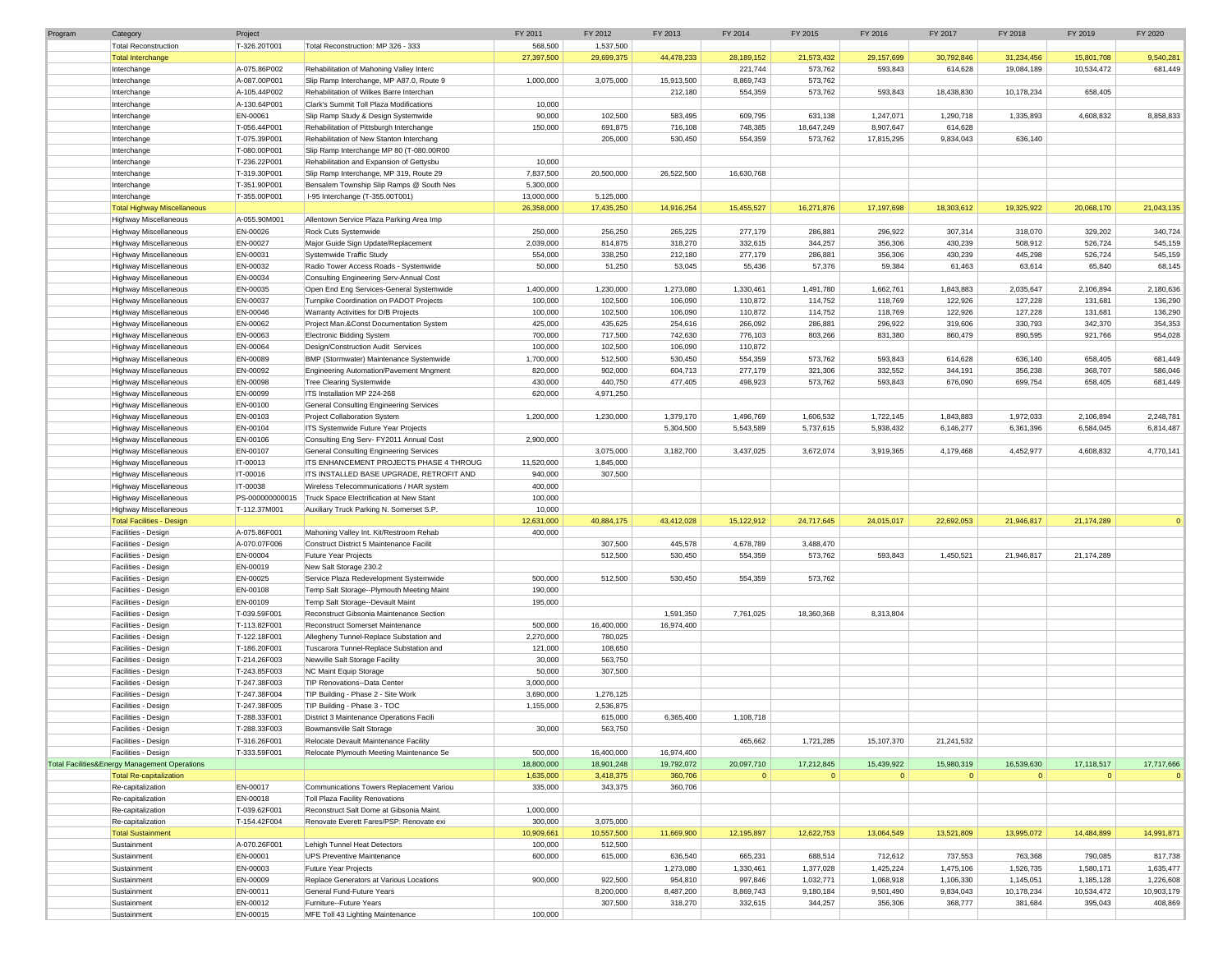| Program | Category                                      | Project         |                                           | FY 2011    | FY 2012    | FY 2013    | FY 2014      | FY 2015     | FY 2016      | FY 2017     | FY 2018      | FY 2019      | FY 2020    |
|---------|-----------------------------------------------|-----------------|-------------------------------------------|------------|------------|------------|--------------|-------------|--------------|-------------|--------------|--------------|------------|
|         | <b>Total Reconstruction</b>                   | T-326.20T001    | Total Reconstruction: MP 326 - 333        | 568,500    | 1,537,500  |            |              |             |              |             |              |              |            |
|         | <b>Total Interchange</b>                      |                 |                                           | 27,397,500 | 29,699,375 | 44,478,233 | 28,189,152   | 21,573,432  | 29,157,699   | 30,792,846  | 31,234,456   | 15,801,708   | 9,540,281  |
|         | Interchange                                   | A-075.86P002    | Rehabilitation of Mahoning Valley Interc  |            |            |            | 221,744      | 573,762     | 593,843      | 614,628     | 19,084,189   | 10,534,472   | 681,449    |
|         | Interchange                                   | A-087.00P001    | Slip Ramp Interchange, MP A87.0, Route 9  | 1,000,000  | 3,075,000  | 15,913,500 | 8,869,743    | 573,762     |              |             |              |              |            |
|         | Interchange                                   | A-105.44P002    | Rehabilitation of Wilkes Barre Interchan  |            |            | 212,180    | 554,359      | 573,762     | 593,843      | 18,438,830  | 10,178,234   | 658,405      |            |
|         | Interchange                                   | A-130.64P001    | Clark's Summit Toll Plaza Modifications   | 10,000     |            |            |              |             |              |             |              |              |            |
|         | Interchange                                   | EN-00061        | Slip Ramp Study & Design Systemwide       | 90,000     | 102,500    | 583,495    | 609,795      | 631,138     | 1,247,071    | 1,290,718   | 1,335,893    | 4,608,832    | 8,858,833  |
|         | Interchange                                   | T-056.44P001    | Rehabilitation of Pittsburgh Interchange  | 150,000    | 691,875    | 716,108    | 748,385      | 18,647,249  | 8,907,647    | 614,628     |              |              |            |
|         | Interchange                                   | T-075.39P001    | Rehabilitation of New Stanton Interchang  |            | 205,000    | 530,450    | 554,359      | 573,762     | 17,815,295   | 9,834,043   | 636,140      |              |            |
|         | Interchange                                   | T-080.00P001    | Slip Ramp Interchange MP 80 (T-080.00R00  |            |            |            |              |             |              |             |              |              |            |
|         | Interchange                                   | T-236.22P001    | Rehabilitation and Expansion of Gettysbu  | 10,000     |            |            |              |             |              |             |              |              |            |
|         | Interchange                                   | T-319.30P001    | Slip Ramp Interchange, MP 319, Route 29   | 7,837,500  | 20,500,000 | 26,522,500 | 16,630,768   |             |              |             |              |              |            |
|         | Interchange                                   | T-351.90P001    | Bensalem Township Slip Ramps @ South Nes  | 5,300,000  |            |            |              |             |              |             |              |              |            |
|         | Interchange                                   | T-355.00P001    | I-95 Interchange (T-355.00T001)           | 13,000,000 | 5,125,000  |            |              |             |              |             |              |              |            |
|         | <b>Total Highway Miscellaneous</b>            |                 |                                           | 26,358,000 | 17,435,250 | 14,916,254 | 15,455,527   | 16,271,876  | 17,197,698   | 18,303,612  | 19,325,922   | 20,068,170   | 21,043,135 |
|         | <b>Highway Miscellaneous</b>                  | A-055.90M001    | Allentown Service Plaza Parking Area Imp  |            |            |            |              |             |              |             |              |              |            |
|         | <b>Highway Miscellaneous</b>                  | EN-00026        | Rock Cuts Systemwide                      | 250,000    | 256,250    | 265,225    | 277,179      | 286,881     | 296,922      | 307,314     | 318,070      | 329,202      | 340,724    |
|         | <b>Highway Miscellaneous</b>                  | EN-00027        | Major Guide Sign Update/Replacement       | 2,039,000  | 814,875    | 318,270    | 332,615      | 344,257     | 356,306      | 430,239     | 508,912      | 526,724      | 545,159    |
|         |                                               | EN-00031        | Systemwide Traffic Study                  | 554,000    | 338,250    | 212,180    | 277,179      | 286,881     | 356,306      | 430,239     | 445,298      | 526,724      | 545,159    |
|         | Highway Miscellaneous                         | EN-00032        |                                           |            |            | 53,045     |              |             |              | 61,463      |              |              |            |
|         | <b>Highway Miscellaneous</b>                  |                 | Radio Tower Access Roads - Systemwide     | 50,000     | 51,250     |            | 55,436       | 57,376      | 59,384       |             | 63,614       | 65,840       | 68,145     |
|         | Highway Miscellaneous                         | EN-00034        | Consulting Engineering Serv-Annual Cost   |            |            |            |              |             |              |             |              |              |            |
|         | <b>Highway Miscellaneous</b>                  | EN-00035        | Open End Eng Services-General Systemwide  | 1,400,000  | 1,230,000  | 1,273,080  | 1,330,461    | 1,491,780   | 1,662,761    | 1,843,883   | 2,035,647    | 2,106,894    | 2,180,636  |
|         | <b>Highway Miscellaneous</b>                  | EN-00037        | Turnpike Coordination on PADOT Projects   | 100,000    | 102,500    | 106,090    | 110,872      | 114,752     | 118,769      | 122,926     | 127,228      | 131,681      | 136,290    |
|         | <b>Highway Miscellaneous</b>                  | EN-00046        | Warranty Activities for D/B Projects      | 100,000    | 102,500    | 106,090    | 110,872      | 114,752     | 118,769      | 122,926     | 127,228      | 131,681      | 136,290    |
|         | Highway Miscellaneous                         | EN-00062        | Project Man.&Const Documentation System   | 425,000    | 435,625    | 254,616    | 266,092      | 286,881     | 296,922      | 319,606     | 330,793      | 342,370      | 354,353    |
|         | <b>Highway Miscellaneous</b>                  | EN-00063        | <b>Electronic Bidding System</b>          | 700,000    | 717,500    | 742,630    | 776,103      | 803,266     | 831,380      | 860,479     | 890,595      | 921,766      | 954,028    |
|         | <b>Highway Miscellaneous</b>                  | EN-00064        | Design/Construction Audit Services        | 100,000    | 102,500    | 106,090    | 110,872      |             |              |             |              |              |            |
|         | <b>Highway Miscellaneous</b>                  | EN-00089        | BMP (Stormwater) Maintenance Systemwide   | 1,700,000  | 512,500    | 530,450    | 554,359      | 573,762     | 593,843      | 614,628     | 636,140      | 658,405      | 681,449    |
|         | <b>Highway Miscellaneous</b>                  | EN-00092        | Engineering Automation/Pavement Mngment   | 820,000    | 902,000    | 604,713    | 277,179      | 321,306     | 332,552      | 344,191     | 356,238      | 368,707      | 586,046    |
|         | <b>Highway Miscellaneous</b>                  | EN-00098        | <b>Tree Clearing Systemwide</b>           | 430,000    | 440,750    | 477,405    | 498,923      | 573,762     | 593,843      | 676,090     | 699,754      | 658,405      | 681,449    |
|         | <b>Highway Miscellaneous</b>                  | EN-00099        | ITS Installation MP 224-268               | 620,000    | 4,971,250  |            |              |             |              |             |              |              |            |
|         | <b>Highway Miscellaneous</b>                  | EN-00100        | General Consulting Engineering Services   |            |            |            |              |             |              |             |              |              |            |
|         | <b>Highway Miscellaneous</b>                  | EN-00103        | Project Collaboration System              | 1,200,000  | 1,230,000  | 1,379,170  | 1,496,769    | 1,606,532   | 1,722,145    | 1,843,883   | 1,972,033    | 2,106,894    | 2,248,781  |
|         | <b>Highway Miscellaneous</b>                  | EN-00104        | ITS Systemwide Future Year Projects       |            |            | 5,304,500  | 5,543,589    | 5,737,615   | 5,938,432    | 6,146,277   | 6,361,396    | 6,584,045    | 6,814,487  |
|         | <b>Highway Miscellaneous</b>                  | EN-00106        | Consulting Eng Serv- FY2011 Annual Cost   | 2,900,000  |            |            |              |             |              |             |              |              |            |
|         | <b>Highway Miscellaneous</b>                  | EN-00107        | General Consulting Engineering Services   |            | 3,075,000  | 3,182,700  | 3,437,025    | 3,672,074   | 3,919,365    | 4,179,468   | 4,452,977    | 4,608,832    | 4,770,141  |
|         | <b>Highway Miscellaneous</b>                  | IT-00013        | ITS ENHANCEMENT PROJECTS PHASE 4 THROUG   | 11,520,000 | 1,845,000  |            |              |             |              |             |              |              |            |
|         | <b>Highway Miscellaneous</b>                  | IT-00016        | ITS INSTALLED BASE UPGRADE, RETROFIT AND  | 940,000    | 307,500    |            |              |             |              |             |              |              |            |
|         | <b>Highway Miscellaneous</b>                  | IT-00038        | Wireless Telecommunications / HAR system  | 400,000    |            |            |              |             |              |             |              |              |            |
|         |                                               |                 |                                           |            |            |            |              |             |              |             |              |              |            |
|         | <b>Highway Miscellaneous</b>                  | PS-000000000015 | Truck Space Electrification at New Stant  | 100,000    |            |            |              |             |              |             |              |              |            |
|         | <b>Highway Miscellaneous</b>                  | T-112.37M001    | Auxiliary Truck Parking N. Somerset S.P.  | 10,000     |            | 43,412,028 | 15,122,912   |             |              | 22,692,053  |              |              | $\Omega$   |
|         | <b>Total Facilities - Design</b>              |                 |                                           | 12,631,000 | 40,884,175 |            |              | 24,717,645  | 24,015,017   |             | 21,946,817   | 21,174,289   |            |
|         | Facilities - Design                           | A-075.86F001    | Mahoning Valley Int. Kit/Restroom Rehab   | 400,000    |            |            |              |             |              |             |              |              |            |
|         | Facilities - Design                           | A-070.07F006    | Construct District 5 Maintenance Facilit  |            | 307,500    | 445,578    | 4,678,789    | 3,488,470   |              |             |              |              |            |
|         | Facilities - Design                           | EN-00004        | Future Year Projects                      |            | 512,500    | 530,450    | 554,359      | 573,762     | 593,843      | 1,450,521   | 21,946,817   | 21,174,289   |            |
|         | Facilities - Design                           | EN-00019        | New Salt Storage 230.2                    |            |            |            |              |             |              |             |              |              |            |
|         | Facilities - Design                           | EN-00025        | Service Plaza Redevelopment Systemwide    | 500,000    | 512,500    | 530,450    | 554,359      | 573,762     |              |             |              |              |            |
|         | Facilities - Design                           | EN-00108        | Temp Salt Storage--Plymouth Meeting Maint | 190,000    |            |            |              |             |              |             |              |              |            |
|         | Facilities - Design                           | EN-00109        | Temp Salt Storage--Devault Maint          | 195,000    |            |            |              |             |              |             |              |              |            |
|         | Facilities - Design                           | T-039.59F001    | Reconstruct Gibsonia Maintenance Section  |            |            | 1,591,350  | 7,761,025    | 18,360,368  | 8,313,804    |             |              |              |            |
|         | Facilities - Design                           | T-113.82F001    | Reconstruct Somerset Maintenance          | 500,000    | 16,400,000 | 16,974,400 |              |             |              |             |              |              |            |
|         | Facilities - Design                           | T-122.18F001    | Allegheny Tunnel-Replace Substation and   | 2,270,000  | 780,025    |            |              |             |              |             |              |              |            |
|         | Facilities - Design                           | T-186.20F001    | Tuscarora Tunnel-Replace Substation and   | 121,000    | 108,650    |            |              |             |              |             |              |              |            |
|         | Facilities - Design                           | T-214.26F003    | Newville Salt Storage Facility            | 30,000     | 563,750    |            |              |             |              |             |              |              |            |
|         | Facilities - Design                           | T-243.85F003    | NC Maint Equip Storage                    | 50,000     | 307,500    |            |              |             |              |             |              |              |            |
|         | Facilities - Design                           | T-247.38F003    | TIP Renovations--Data Center              | 3,000,000  |            |            |              |             |              |             |              |              |            |
|         | Facilities - Design                           | T-247.38F004    | TIP Building - Phase 2 - Site Work        | 3,690,000  | 1,276,125  |            |              |             |              |             |              |              |            |
|         | Facilities - Design                           | T-247.38F005    | TIP Building - Phase 3 - TOC              | 1,155,000  | 2,536,875  |            |              |             |              |             |              |              |            |
|         | Facilities - Design                           | T-288.33F001    | District 3 Maintenance Operations Facili  |            | 615,000    | 6,365,400  | 1,108,718    |             |              |             |              |              |            |
|         | Facilities - Design                           | F-288.33F003    | Bowmansville Salt Storage                 | 30,000     | 563,750    |            |              |             |              |             |              |              |            |
|         | Facilities - Design                           | T-316.26F001    | Relocate Devault Maintenance Facility     |            |            |            | 465,662      | 1,721,285   | 15,107,370   | 21,241,532  |              |              |            |
|         | Facilities - Design                           | T-333.59F001    | Relocate Plymouth Meeting Maintenance Se  | 500,000    | 16,400,000 | 16,974,400 |              |             |              |             |              |              |            |
|         | Total Facilities&Energy Management Operations |                 |                                           | 18,800,000 | 18,901,248 | 19,792,072 | 20,097,710   | 17,212,845  | 15,439,922   | 15,980,319  | 16,539,630   | 17,118,517   | 17,717,666 |
|         |                                               |                 |                                           | 1,635,000  | 3,418,375  |            | $\mathbf{0}$ | $\mathbf 0$ | $\mathbf{0}$ | $\mathbf 0$ | $\mathbf{0}$ | $\mathbf{0}$ |            |
|         | <b>Total Re-capitalization</b>                |                 |                                           |            |            | 360,706    |              |             |              |             |              |              |            |
|         | Re-capitalization                             | EN-00017        | Communications Towers Replacement Variou  | 335,000    | 343,375    | 360,706    |              |             |              |             |              |              |            |
|         | Re-capitalization                             | EN-00018        | <b>Toll Plaza Facility Renovations</b>    |            |            |            |              |             |              |             |              |              |            |
|         | Re-capitalization                             | T-039.62F001    | Reconstruct Salt Dome at Gibsonia Maint.  | 1,000,000  |            |            |              |             |              |             |              |              |            |
|         | Re-capitalization                             | T-154.42F004    | Renovate Everett Fares/PSP: Renovate exi  | 300,000    | 3,075,000  |            |              |             |              |             |              |              |            |
|         | <b>Total Sustainment</b>                      |                 |                                           | 10,909,661 | 10,557,500 | 11,669,900 | 12,195,897   | 12,622,753  | 13,064,549   | 13,521,809  | 13,995,072   | 14,484,899   | 14,991,871 |
|         | Sustainment                                   | A-070.26F001    | Lehigh Tunnel Heat Detectors              | 100,000    | 512,500    |            |              |             |              |             |              |              |            |
|         | Sustainment                                   | EN-00001        | <b>UPS Preventive Maintenance</b>         | 600,000    | 615,000    | 636,540    | 665,231      | 688,514     | 712,612      | 737,553     | 763,368      | 790,085      | 817,738    |
|         | Sustainment                                   | EN-00003        | Future Year Projects                      |            |            | 1,273,080  | 1,330,461    | 1,377,028   | 1,425,224    | 1,475,106   | 1,526,735    | 1,580,171    | 1,635,477  |
|         | Sustainment                                   | EN-00009        | Replace Generators at Various Locations   | 900,000    | 922,500    | 954,810    | 997,846      | 1,032,771   | 1,068,918    | 1,106,330   | 1,145,051    | 1,185,128    | 1,226,608  |
|         | Sustainment                                   | EN-00011        | General Fund-Future Years                 |            | 8,200,000  | 8,487,200  | 8,869,743    | 9,180,184   | 9,501,490    | 9,834,043   | 10,178,234   | 10,534,472   | 10,903,179 |
|         | Sustainment                                   | EN-00012        | Furniture--Future Years                   |            | 307,500    | 318,270    | 332,615      | 344,257     | 356,306      | 368,777     | 381,684      | 395,043      | 408,869    |
|         | Sustainment                                   | EN-00015        | MFE Toll 43 Lighting Maintenance          | 100,000    |            |            |              |             |              |             |              |              |            |